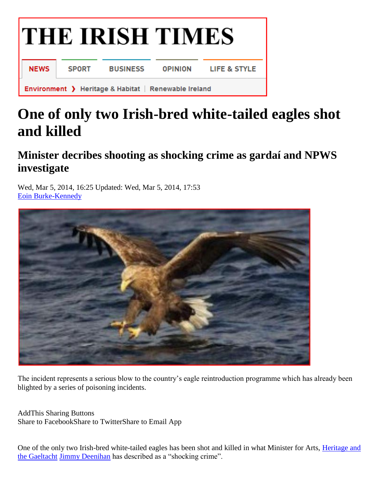

## **One of only two Irish-bred white-tailed eagles shot and killed**

## **Minister decribes shooting as shocking crime as gardaí and NPWS investigate**

Wed, Mar 5, 2014, 16:25 Updated: Wed, Mar 5, 2014, 17:53 [Eoin Burke-Kennedy](https://www.irishtimes.com/profile/eoin-burke-kennedy-7.1837462)



The incident represents a serious blow to the country's eagle reintroduction programme which has already been blighted by a series of poisoning incidents.

AddThis Sharing Buttons Share to FacebookShare to TwitterShare to Email App

One of the only two Irish-bred white-tailed eagles has been shot and killed in what Minister for Arts, [Heritage and](https://www.irishtimes.com/topics/topics-7.1213540?article=true&tag_organisation=Heritage+and+the+Gaeltacht)  [the Gaeltacht](https://www.irishtimes.com/topics/topics-7.1213540?article=true&tag_organisation=Heritage+and+the+Gaeltacht) [Jimmy Deenihan](https://www.irishtimes.com/topics/topics-7.1213540?article=true&tag_person=Jimmy+Deenihan) has described as a "shocking crime".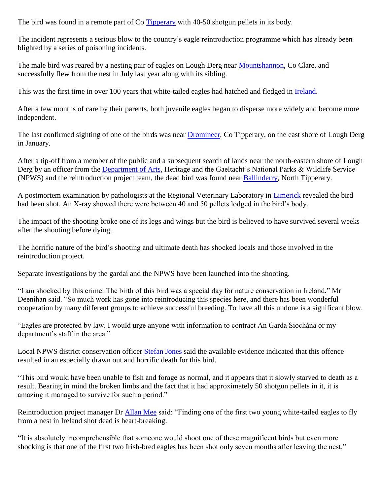The bird was found in a remote part of Co [Tipperary](https://www.irishtimes.com/topics/topics-7.1213540?article=true&tag_company=Tipperary) with 40-50 shotgun pellets in its body.

The incident represents a serious blow to the country's eagle reintroduction programme which has already been blighted by a series of poisoning incidents.

The male bird was reared by a nesting pair of eagles on Lough Derg near [Mountshannon,](https://www.irishtimes.com/topics/topics-7.1213540?article=true&tag_company=Mountshannon) Co Clare, and successfully flew from the nest in July last year along with its sibling.

This was the first time in over 100 years that white-tailed eagles had hatched and fledged in [Ireland.](https://www.irishtimes.com/news)

After a few months of care by their parents, both juvenile eagles began to disperse more widely and become more independent.

The last confirmed sighting of one of the birds was near [Dromineer,](https://www.irishtimes.com/topics/topics-7.1213540?article=true&tag_company=Dromineer) Co Tipperary, on the east shore of Lough Derg in January.

After a tip-off from a member of the public and a subsequent search of lands near the north-eastern shore of Lough Derg by an officer from the [Department of Arts,](https://www.irishtimes.com/topics/topics-7.1213540?article=true&tag_organisation=Department+of+Arts) Heritage and the Gaeltacht's National Parks & Wildlife Service (NPWS) and the reintroduction project team, the dead bird was found near [Ballinderry,](https://www.irishtimes.com/topics/topics-7.1213540?article=true&tag_company=Ballinderry) North Tipperary.

A postmortem examination by pathologists at the Regional Veterinary Laboratory in [Limerick](https://www.irishtimes.com/topics/topics-7.1213540?article=true&tag_organisation=Limerick) revealed the bird had been shot. An X-ray showed there were between 40 and 50 pellets lodged in the bird's body.

The impact of the shooting broke one of its legs and wings but the bird is believed to have survived several weeks after the shooting before dying.

The horrific nature of the bird's shooting and ultimate death has shocked locals and those involved in the reintroduction project.

Separate investigations by the gardaí and the NPWS have been launched into the shooting.

"I am shocked by this crime. The birth of this bird was a special day for nature conservation in Ireland," Mr Deenihan said. "So much work has gone into reintroducing this species here, and there has been wonderful cooperation by many different groups to achieve successful breeding. To have all this undone is a significant blow.

"Eagles are protected by law. I would urge anyone with information to contract An Garda Siochána or my department's staff in the area."

Local NPWS district conservation officer [Stefan Jones](https://www.irishtimes.com/topics/topics-7.1213540?article=true&tag_person=Stefan+Jones) said the available evidence indicated that this offence resulted in an especially drawn out and horrific death for this bird.

"This bird would have been unable to fish and forage as normal, and it appears that it slowly starved to death as a result. Bearing in mind the broken limbs and the fact that it had approximately 50 shotgun pellets in it, it is amazing it managed to survive for such a period."

Reintroduction project manager Dr *Allan Mee* said: "Finding one of the first two young white-tailed eagles to fly from a nest in Ireland shot dead is heart-breaking.

"It is absolutely incomprehensible that someone would shoot one of these magnificent birds but even more shocking is that one of the first two Irish-bred eagles has been shot only seven months after leaving the nest."